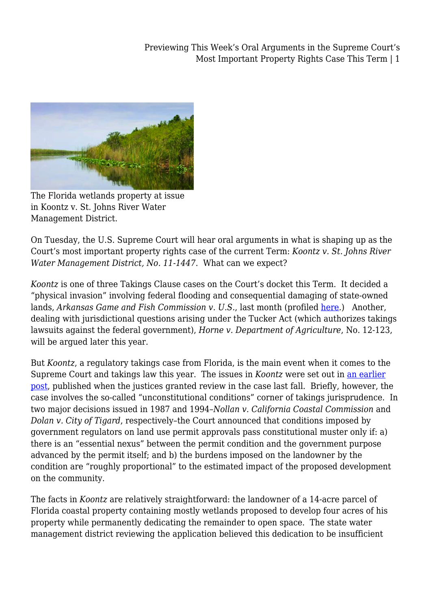

The Florida wetlands property at issue in Koontz v. St. Johns River Water Management District.

On Tuesday, the U.S. Supreme Court will hear oral arguments in what is shaping up as the Court's most important property rights case of the current Term: *Koontz v. St. Johns River Water Management District, No. 11-1447*. What can we expect?

*Koontz* is one of three Takings Clause cases on the Court's docket this Term. It decided a "physical invasion" involving federal flooding and consequential damaging of state-owned lands, *Arkansas Game and Fish Commission v. U.S.*, last month (profiled [here](http://legalplanet.wordpress.com/2012/12/04/supreme-court-rules-federal-flooding-of-state-forest-lands-an-unconstitutional-taking/).) Another, dealing with jurisdictional questions arising under the Tucker Act (which authorizes takings lawsuits against the federal government), *Horne v. Department of Agriculture*, No. 12-123, will be argued later this year.

But *Koontz*, a regulatory takings case from Florida, is the main event when it comes to the Supreme Court and takings law this year. The issues in *Koontz* were set out in [an earlier](http://legalplanet.wordpress.com/2012/10/09/property-rights-the-takings-clause-prominent-on-the-u-s-supreme-courts-docket-this-year/) [post,](http://legalplanet.wordpress.com/2012/10/09/property-rights-the-takings-clause-prominent-on-the-u-s-supreme-courts-docket-this-year/) published when the justices granted review in the case last fall. Briefly, however, the case involves the so-called "unconstitutional conditions" corner of takings jurisprudence. In two major decisions issued in 1987 and 1994–*Nollan v. California Coastal Commission* and *Dolan v. City of Tigard*, respectively–the Court announced that conditions imposed by government regulators on land use permit approvals pass constitutional muster only if: a) there is an "essential nexus" between the permit condition and the government purpose advanced by the permit itself; and b) the burdens imposed on the landowner by the condition are "roughly proportional" to the estimated impact of the proposed development on the community.

The facts in *Koontz* are relatively straightforward: the landowner of a 14-acre parcel of Florida coastal property containing mostly wetlands proposed to develop four acres of his property while permanently dedicating the remainder to open space. The state water management district reviewing the application believed this dedication to be insufficient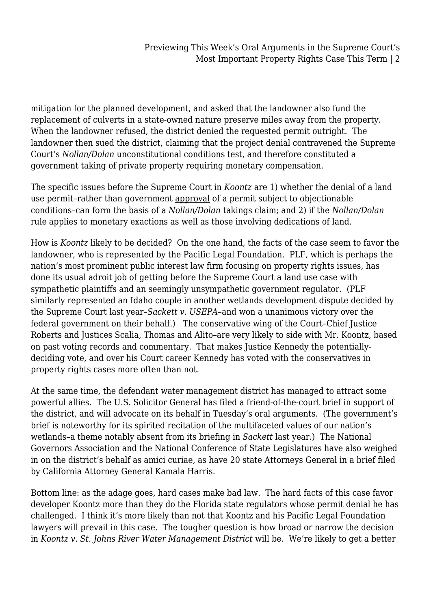mitigation for the planned development, and asked that the landowner also fund the replacement of culverts in a state-owned nature preserve miles away from the property. When the landowner refused, the district denied the requested permit outright. The landowner then sued the district, claiming that the project denial contravened the Supreme Court's *Nollan/Dolan* unconstitutional conditions test, and therefore constituted a government taking of private property requiring monetary compensation.

The specific issues before the Supreme Court in *Koontz* are 1) whether the denial of a land use permit–rather than government approval of a permit subject to objectionable conditions–can form the basis of a *Nollan/Dolan* takings claim; and 2) if the *Nollan/Dolan* rule applies to monetary exactions as well as those involving dedications of land.

How is *Koontz* likely to be decided? On the one hand, the facts of the case seem to favor the landowner, who is represented by the Pacific Legal Foundation. PLF, which is perhaps the nation's most prominent public interest law firm focusing on property rights issues, has done its usual adroit job of getting before the Supreme Court a land use case with sympathetic plaintiffs and an seemingly unsympathetic government regulator. (PLF similarly represented an Idaho couple in another wetlands development dispute decided by the Supreme Court last year–*Sackett v. USEPA*–and won a unanimous victory over the federal government on their behalf.) The conservative wing of the Court–Chief Justice Roberts and Justices Scalia, Thomas and Alito–are very likely to side with Mr. Koontz, based on past voting records and commentary. That makes Justice Kennedy the potentiallydeciding vote, and over his Court career Kennedy has voted with the conservatives in property rights cases more often than not.

At the same time, the defendant water management district has managed to attract some powerful allies. The U.S. Solicitor General has filed a friend-of-the-court brief in support of the district, and will advocate on its behalf in Tuesday's oral arguments. (The government's brief is noteworthy for its spirited recitation of the multifaceted values of our nation's wetlands–a theme notably absent from its briefing in *Sackett* last year.) The National Governors Association and the National Conference of State Legislatures have also weighed in on the district's behalf as amici curiae, as have 20 state Attorneys General in a brief filed by California Attorney General Kamala Harris.

Bottom line: as the adage goes, hard cases make bad law. The hard facts of this case favor developer Koontz more than they do the Florida state regulators whose permit denial he has challenged. I think it's more likely than not that Koontz and his Pacific Legal Foundation lawyers will prevail in this case. The tougher question is how broad or narrow the decision in *Koontz v. St. Johns River Water Management District* will be. We're likely to get a better